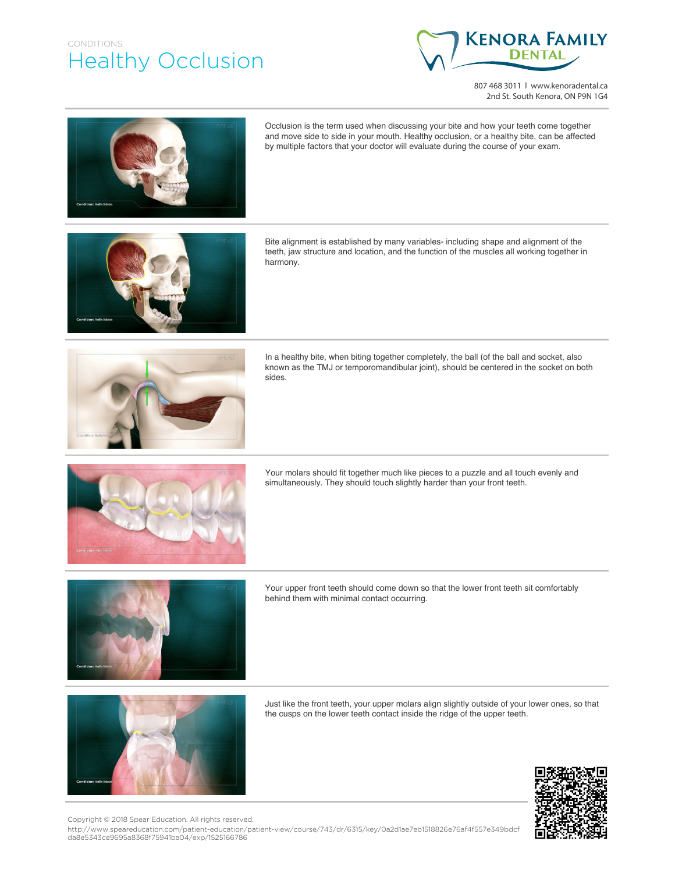## CONDITIONS Healthy Occlusion



807 468 3011 | www.kenoradental.ca 2nd St. South Kenora, ON P9N 1G4





Your upper front teeth should come down so that the lower front teeth sit comfortably behind them with minimal contact occurring.



Just like the front teeth, your upper molars align slightly outside of your lower ones, so that the cusps on the lower teeth contact inside the ridge of the upper teeth.



http://www.speareducation.com/patient-education/patient-view/course/743/dr/6315/key/0a2d1ae7eb1518826e76af4f557e349bdcf da8e5343ce9695a8368f75941ba04/exp/1525166786 Copyright © 2018 Spear Education. All rights reserved.